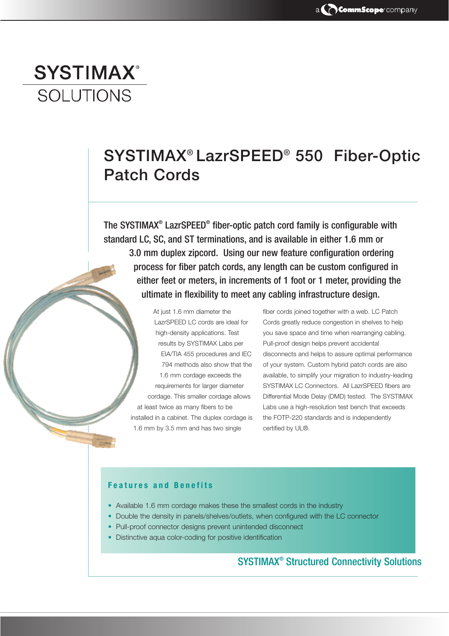# **SYSTIMAX®** SOLUTIONS

## SYSTIMAX® LazrSPEED® 550 Fiber-Optic Patch Cords

The SYSTIMAX® LazrSPEED® fiber-optic patch cord family is configurable with standard LC, SC, and ST terminations, and is available in either 1.6 mm or 3.0 mm duplex zipcord. Using our new feature configuration ordering process for fiber patch cords, any length can be custom configured in either feet or meters, in increments of 1 foot or 1 meter, providing the ultimate in flexibility to meet any cabling infrastructure design.

At just 1.6 mm diameter the LazrSPEED LC cords are ideal for high-density applications. Test results by SYSTIMAX Labs per EIA/TIA 455 procedures and IEC 794 methods also show that the 1.6 mm cordage exceeds the requirements for larger diameter cordage. This smaller cordage allows at least twice as many fibers to be installed in a cabinet. The duplex cordage is 1.6 mm by 3.5 mm and has two single

fiber cords joined together with a web. LC Patch Cords greatly reduce congestion in shelves to help you save space and time when rearranging cabling. Pull-proof design helps prevent accidental disconnects and helps to assure optimal performance of your system. Custom hybrid patch cords are also available, to simplify your migration to industry-leading SYSTIMAX LC Connectors. All LazrSPEED fibers are Differential Mode Delay (DMD) tested. The SYSTIMAX Labs use a high-resolution test bench that exceeds the FOTP-220 standards and is independently certified by UL®.

#### Features and Benefits

- Available 1.6 mm cordage makes these the smallest cords in the industry
- Double the density in panels/shelves/outlets, when configured with the LC connector
- Pull-proof connector designs prevent unintended disconnect
- Distinctive aqua color-coding for positive identification

## SYSTIMAX® Structured Connectivity Solutions